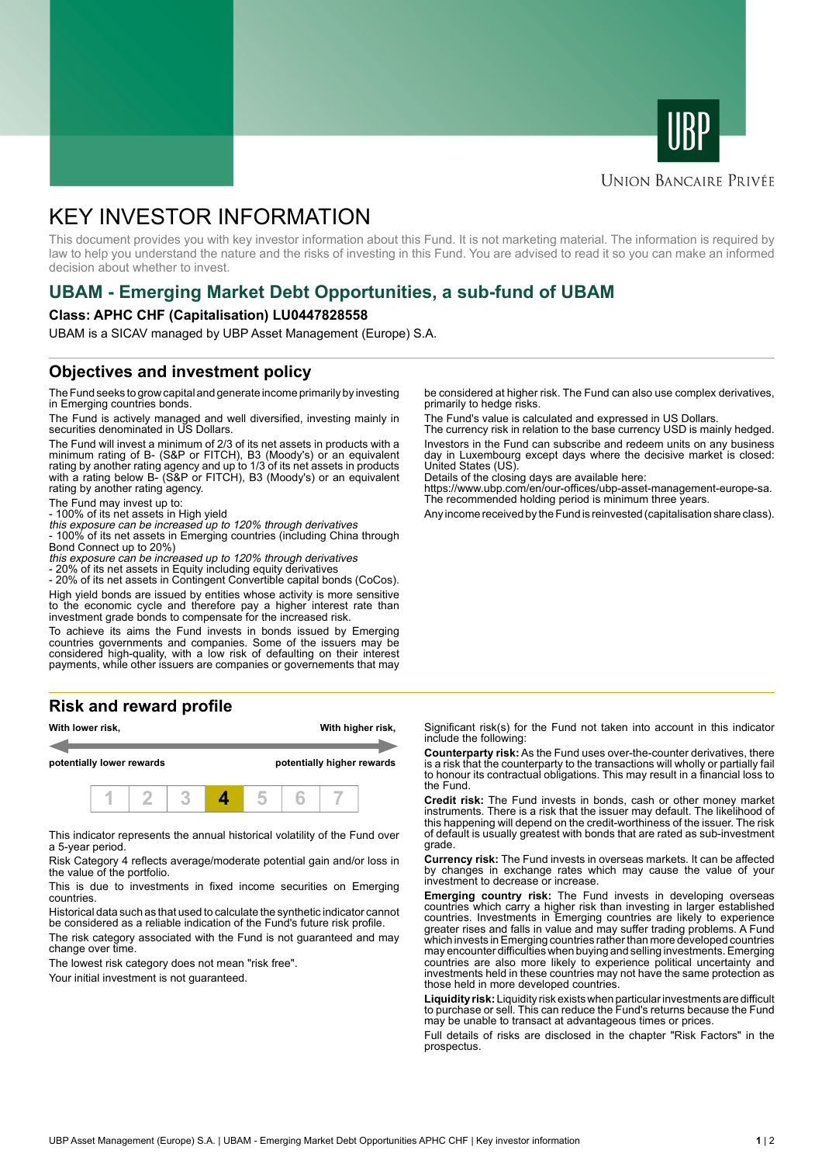



#### **UNION BANCAIRE PRIVÉE**

# KEY INVESTOR INFORMATION

This document provides you with key investor information about this Fund. It is not marketing material. The information is required by law to help you understand the nature and the risks of investing in this Fund. You are advised to read it so you can make an informed decision about whether to invest.

## **UBAM - Emerging Market Debt Opportunities, a sub-fund of UBAM**

#### **Class: APHC CHF (Capitalisation) LU0447828558**

UBAM is a SICAV managed by UBP Asset Management (Europe) S.A.

### **Objectives and investment policy**

The Fund seeks to grow capital and generate income primarily by investing in Emerging countries bonds.

The Fund is actively managed and well diversified, investing mainly in securities denominated in US Dollars.

The Fund will invest a minimum of 2/3 of its net assets in products with a minimum rating of B- (S&P or FITCH), B3 (Moody's) or an equivalent rating by another rating agency and up to 1/3 of its net assets in products with a rating below B- (S&P or FITCH), B3 (Moody's) or an equivalent rating by another rating agency.

The Fund may invest up to:

- 100% of its net assets in High yield this exposure can be increased up to 120% through derivatives

- 100% of its net assets in Emerging countries (including China through Bond Connect up to 20%)

this exposure can be increased up to 120% through derivatives

- 20% of its net assets in Equity including equity derivatives

- 20% of its net assets in Contingent Convertible capital bonds (CoCos). High yield bonds are issued by entities whose activity is more sensitive to the economic cycle and therefore pay a higher interest rate than investment grade bonds to compensate for the increased risk.

To achieve its aims the Fund invests in bonds issued by Emerging countries governments and companies. Some of the issuers may be considered high-quality, with a low risk of defaulting on their interest payments, while other issuers are companies or governements that may

### **Risk and reward profile**



This indicator represents the annual historical volatility of the Fund over a 5-year period.

Risk Category 4 reflects average/moderate potential gain and/or loss in the value of the portfolio.

This is due to investments in fixed income securities on Emerging countries.

Historical data such as that used to calculate the synthetic indicator cannot be considered as a reliable indication of the Fund's future risk profile. The risk category associated with the Fund is not guaranteed and may

change over time. The lowest risk category does not mean "risk free".

Your initial investment is not quaranteed.

be considered at higher risk. The Fund can also use complex derivatives, primarily to hedge risks.

The Fund's value is calculated and expressed in US Dollars.

The currency risk in relation to the base currency USD is mainly hedged. Investors in the Fund can subscribe and redeem units on any business day in Luxembourg except days where the decisive market is closed: United States (US).

Details of the closing days are available here:

https://www.ubp.com/en/our-offices/ubp-asset-management-europe-sa. The recommended holding period is minimum three years.

Any income received by the Fund is reinvested (capitalisation share class).

Significant risk(s) for the Fund not taken into account in this indicator include the following:

**Counterparty risk:** As the Fund uses over-the-counter derivatives, there is a risk that the counterparty to the transactions will wholly or partially fail to honour its contractual obligations. This may result in a financial loss to the Fund.

**Credit risk:** The Fund invests in bonds, cash or other money market instruments. There is a risk that the issuer may default. The likelihood of this happening will depend on the credit-worthiness of the issuer. The risk of default is usually greatest with bonds that are rated as sub-investment grade.

**Currency risk:** The Fund invests in overseas markets. It can be affected by changes in exchange rates which may cause the value of your investment to decrease or increase.

**Emerging country risk:** The Fund invests in developing overseas countries which carry a higher risk than investing in larger established countries. Investments in Emerging countries are likely to experience greater rises and falls in value and may suffer trading problems. A Fund which invests in Emerging countries rather than more developed countries may encounter difficulties when buying and selling investments. Emerging countries are also more likely to experience political uncertainty and investments held in these countries may not have the same protection as those held in more developed countries.

**Liquidity risk:** Liquidity risk exists when particular investments are difficult to purchase or sell. This can reduce the Fund's returns because the Fund may be unable to transact at advantageous times or prices.

Full details of risks are disclosed in the chapter "Risk Factors" in the prospectus.